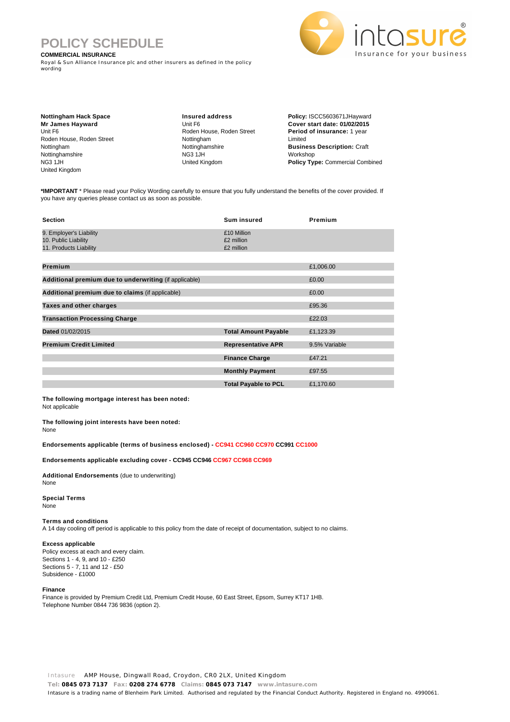# **POLICY SCHEDULE**

## **COMMERCIAL INSURANCE**

Royal & Sun Alliance Insurance plc and other insurers as defined in the policy wording



**Nottingham Hack Space Mr James Hayward** Unit F6 Roden House, Roden Street Nottingham Nottinghamshire NG3 1JH United Kingdom

**Insured address** Unit F6 Roden House, Roden Street Nottingham Nottinghamshire NG3 1JH United Kingdom

**Policy:** ISCC5603671JHayward **Cover start date: 01/02/2015 Period of insurance:** 1 year Limited **Business Description:** Craft Workshop **Policy Type:** Commercial Combined

**\*IMPORTANT** \* Please read your Policy Wording carefully to ensure that you fully understand the benefits of the cover provided. If you have any queries please contact us as soon as possible.

| <b>Section</b>                                                            | <b>Sum insured</b>                      | Premium       |
|---------------------------------------------------------------------------|-----------------------------------------|---------------|
| 9. Employer's Liability<br>10. Public Liability<br>11. Products Liability | £10 Million<br>£2 million<br>£2 million |               |
| Premium                                                                   |                                         | £1,006.00     |
| Additional premium due to underwriting (if applicable)                    |                                         | £0.00         |
| Additional premium due to claims (if applicable)                          |                                         | £0.00         |
| Taxes and other charges                                                   |                                         | £95.36        |
| <b>Transaction Processing Charge</b>                                      |                                         | £22.03        |
| Dated 01/02/2015                                                          | <b>Total Amount Payable</b>             | £1,123.39     |
| <b>Premium Credit Limited</b>                                             | <b>Representative APR</b>               | 9.5% Variable |
|                                                                           | <b>Finance Charge</b>                   | £47.21        |
|                                                                           | <b>Monthly Payment</b>                  | £97.55        |
|                                                                           | <b>Total Payable to PCL</b>             | £1,170.60     |

**The following mortgage interest has been noted:** Not applicable

**The following joint interests have been noted:**

None

**Endorsements applicable (terms of business enclosed) - CC941 CC960 CC970 CC991 CC1000**

**Endorsements applicable excluding cover - CC945 CC946 CC967 CC968 CC969**

**Additional Endorsements** (due to underwriting) None

#### **Special Terms** None

# **Terms and conditions**

A 14 day cooling off period is applicable to this policy from the date of receipt of documentation, subject to no claims.

#### **Excess applicable**

Policy excess at each and every claim. Sections 1 - 4, 9, and 10 - £250 Sections 5 - 7, 11 and 12 - £50 Subsidence - £1000

#### **Finance**

Finance is provided by Premium Credit Ltd, Premium Credit House, 60 East Street, Epsom, Surrey KT17 1HB. Telephone Number 0844 736 9836 (option 2).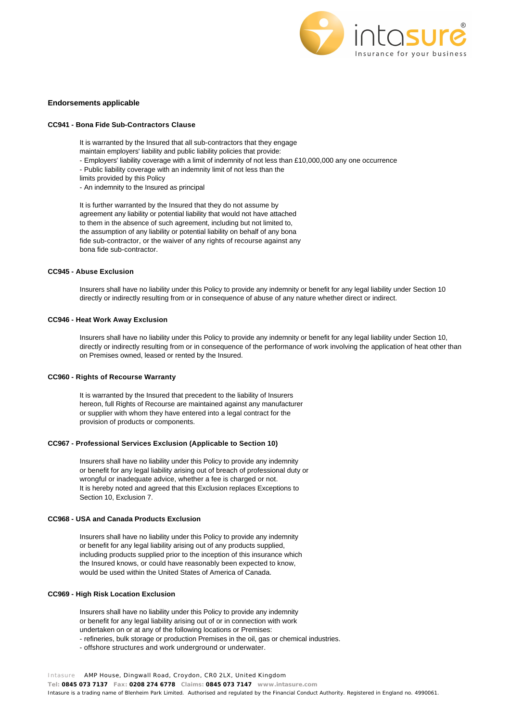

#### **Endorsements applicable**

#### **CC941 - Bona Fide Sub-Contractors Clause**

It is warranted by the Insured that all sub-contractors that they engage

- maintain employers' liability and public liability policies that provide:
- Employers' liability coverage with a limit of indemnity of not less than £10,000,000 any one occurrence
- Public liability coverage with an indemnity limit of not less than the
- limits provided by this Policy
- An indemnity to the Insured as principal

It is further warranted by the Insured that they do not assume by agreement any liability or potential liability that would not have attached to them in the absence of such agreement, including but not limited to, the assumption of any liability or potential liability on behalf of any bona fide sub-contractor, or the waiver of any rights of recourse against any bona fide sub-contractor.

## **CC945 - Abuse Exclusion**

Insurers shall have no liability under this Policy to provide any indemnity or benefit for any legal liability under Section 10 directly or indirectly resulting from or in consequence of abuse of any nature whether direct or indirect.

#### **CC946 - Heat Work Away Exclusion**

Insurers shall have no liability under this Policy to provide any indemnity or benefit for any legal liability under Section 10, directly or indirectly resulting from or in consequence of the performance of work involving the application of heat other than on Premises owned, leased or rented by the Insured.

#### **CC960 - Rights of Recourse Warranty**

It is warranted by the Insured that precedent to the liability of Insurers hereon, full Rights of Recourse are maintained against any manufacturer or supplier with whom they have entered into a legal contract for the provision of products or components.

### **CC967 - Professional Services Exclusion (Applicable to Section 10)**

Insurers shall have no liability under this Policy to provide any indemnity or benefit for any legal liability arising out of breach of professional duty or wrongful or inadequate advice, whether a fee is charged or not. It is hereby noted and agreed that this Exclusion replaces Exceptions to Section 10, Exclusion 7.

#### **CC968 - USA and Canada Products Exclusion**

Insurers shall have no liability under this Policy to provide any indemnity or benefit for any legal liability arising out of any products supplied, including products supplied prior to the inception of this insurance which the Insured knows, or could have reasonably been expected to know, would be used within the United States of America of Canada.

## **CC969 - High Risk Location Exclusion**

Insurers shall have no liability under this Policy to provide any indemnity or benefit for any legal liability arising out of or in connection with work undertaken on or at any of the following locations or Premises:

- refineries, bulk storage or production Premises in the oil, gas or chemical industries.

- offshore structures and work underground or underwater.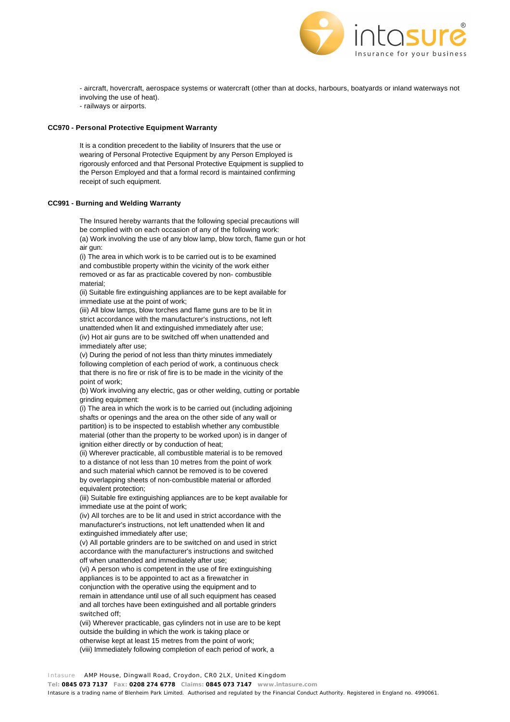

- aircraft, hovercraft, aerospace systems or watercraft (other than at docks, harbours, boatyards or inland waterways not involving the use of heat).

- railways or airports.

# **CC970 - Personal Protective Equipment Warranty**

It is a condition precedent to the liability of Insurers that the use or wearing of Personal Protective Equipment by any Person Employed is rigorously enforced and that Personal Protective Equipment is supplied to the Person Employed and that a formal record is maintained confirming receipt of such equipment.

# **CC991 - Burning and Welding Warranty**

The Insured hereby warrants that the following special precautions will be complied with on each occasion of any of the following work: (a) Work involving the use of any blow lamp, blow torch, flame gun or hot air gun:

(i) The area in which work is to be carried out is to be examined and combustible property within the vicinity of the work either removed or as far as practicable covered by non- combustible material;

(ii) Suitable fire extinguishing appliances are to be kept available for immediate use at the point of work;

(iii) All blow lamps, blow torches and flame guns are to be lit in strict accordance with the manufacturer's instructions, not left unattended when lit and extinguished immediately after use; (iv) Hot air guns are to be switched off when unattended and immediately after use;

(v) During the period of not less than thirty minutes immediately following completion of each period of work, a continuous check that there is no fire or risk of fire is to be made in the vicinity of the point of work;

(b) Work involving any electric, gas or other welding, cutting or portable grinding equipment:

(i) The area in which the work is to be carried out (including adjoining shafts or openings and the area on the other side of any wall or partition) is to be inspected to establish whether any combustible material (other than the property to be worked upon) is in danger of ignition either directly or by conduction of heat;

(ii) Wherever practicable, all combustible material is to be removed to a distance of not less than 10 metres from the point of work and such material which cannot be removed is to be covered by overlapping sheets of non-combustible material or afforded equivalent protection;

(iii) Suitable fire extinguishing appliances are to be kept available for immediate use at the point of work;

(iv) All torches are to be lit and used in strict accordance with the manufacturer's instructions, not left unattended when lit and extinguished immediately after use;

(v) All portable grinders are to be switched on and used in strict accordance with the manufacturer's instructions and switched off when unattended and immediately after use;

(vi) A person who is competent in the use of fire extinguishing appliances is to be appointed to act as a firewatcher in conjunction with the operative using the equipment and to remain in attendance until use of all such equipment has ceased and all torches have been extinguished and all portable grinders switched off;

(vii) Wherever practicable, gas cylinders not in use are to be kept outside the building in which the work is taking place or otherwise kept at least 15 metres from the point of work; (viii) Immediately following completion of each period of work, a